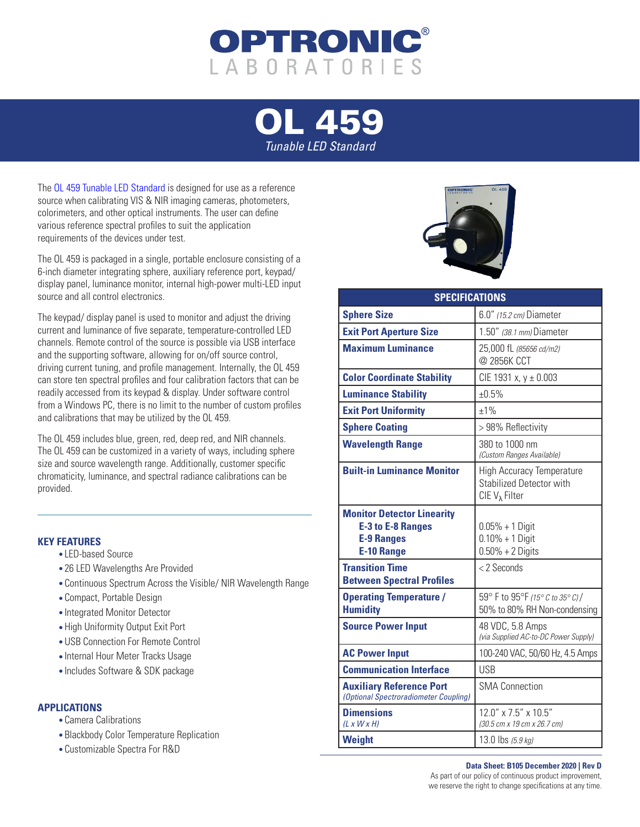

## [OL 459](https://optroniclabs.com/product/ol-459-tunable-led-standard/) *Tunable LED Standard*

Th[e OL 459 Tunable LED Standard](https://optroniclabs.com/product/ol-459-tunable-led-standard/) is designed for use as a reference source when calibrating VIS & NIR imaging cameras, photometers, colorimeters, and other optical instruments. The user can define various reference spectral profiles to suit the application requirements of the devices under test.

The OL 459 is packaged in a single, portable enclosure consisting of a 6-inch diameter integrating sphere, auxiliary reference port, keypad/ display panel, luminance monitor, internal high-power multi-LED input source and all control electronics.

The keypad/ display panel is used to monitor and adjust the driving current and luminance of five separate, temperature-controlled LED channels. Remote control of the source is possible via USB interface and the supporting software, allowing for on/off source control, driving current tuning, and profile management. Internally, the OL 459 can store ten spectral profiles and four calibration factors that can be readily accessed from its keypad & display. Under software control from a Windows PC, there is no limit to the number of custom profiles and calibrations that may be utilized by the OL 459.

The OL 459 includes blue, green, red, deep red, and NIR channels. The OL 459 can be customized in a variety of ways, including sphere size and source wavelength range. Additionally, customer specific chromaticity, luminance, and spectral radiance calibrations can be provided.

## **KEY FEATURES**

- LED-based Source
- 26 LED Wavelengths Are Provided
- Continuous Spectrum Across the Visible/ NIR Wavelength Range
- Compact, Portable Design
- Integrated Monitor Detector
- High Uniformity Output Exit Port
- USB Connection For Remote Control
- Internal Hour Meter Tracks Usage
- Includes Software & SDK package

## **APPLICATIONS**

- Camera Calibrations
- Blackbody Color Temperature Replication
- Customizable Spectra For R&D



| <b>SPECIFICATIONS</b>                                                                                   |                                                                                                |
|---------------------------------------------------------------------------------------------------------|------------------------------------------------------------------------------------------------|
| <b>Sphere Size</b>                                                                                      | 6.0" (15.2 cm) Diameter                                                                        |
| <b>Exit Port Aperture Size</b>                                                                          | 1.50" (38.1 mm) Diameter                                                                       |
| <b>Maximum Luminance</b>                                                                                | 25,000 fL (85656 cd/m2)<br>@ 2856K CCT                                                         |
| <b>Color Coordinate Stability</b>                                                                       | CIE 1931 x, y ± 0.003                                                                          |
| <b>Luminance Stability</b>                                                                              | ±0.5%                                                                                          |
| <b>Exit Port Uniformity</b>                                                                             | $±1\%$                                                                                         |
| <b>Sphere Coating</b>                                                                                   | > 98% Reflectivity                                                                             |
| <b>Wavelength Range</b>                                                                                 | 380 to 1000 nm<br>(Custom Ranges Available)                                                    |
| <b>Built-in Luminance Monitor</b>                                                                       | <b>High Accuracy Temperature</b><br><b>Stabilized Detector with</b><br>$CIEV_{\lambda}$ Filter |
| <b>Monitor Detector Linearity</b><br><b>E-3 to E-8 Ranges</b><br><b>E-9 Ranges</b><br><b>E-10 Range</b> | $0.05% + 1$ Digit<br>$0.10\% + 1$ Digit<br>$0.50\% + 2$ Digits                                 |
| <b>Transition Time</b><br><b>Between Spectral Profiles</b>                                              | <2 Seconds                                                                                     |
| <b>Operating Temperature /</b><br><b>Humidity</b>                                                       | 59° F to 95°F (15° C to 35° C) /<br>50% to 80% RH Non-condensing                               |
| <b>Source Power Input</b>                                                                               | 48 VDC, 5.8 Amps<br>(via Supplied AC-to-DC Power Supply)                                       |
| <b>AC Power Input</b>                                                                                   | 100-240 VAC, 50/60 Hz, 4.5 Amps                                                                |
| <b>Communication Interface</b>                                                                          | <b>USB</b>                                                                                     |
| <b>Auxiliary Reference Port</b><br>(Optional Spectroradiometer Coupling)                                | <b>SMA Connection</b>                                                                          |
| <b>Dimensions</b><br>$(L \times W \times H)$                                                            | 12.0" x 7.5" x 10.5"<br>(30.5 cm x 19 cm x 26.7 cm)                                            |
| <b>Weight</b>                                                                                           | 13.0 lbs (5.9 kg)                                                                              |

## **Data Sheet: B105 December 2020 | Rev D** As part of our policy of continuous product improvement, we reserve the right to change specifications at any time.